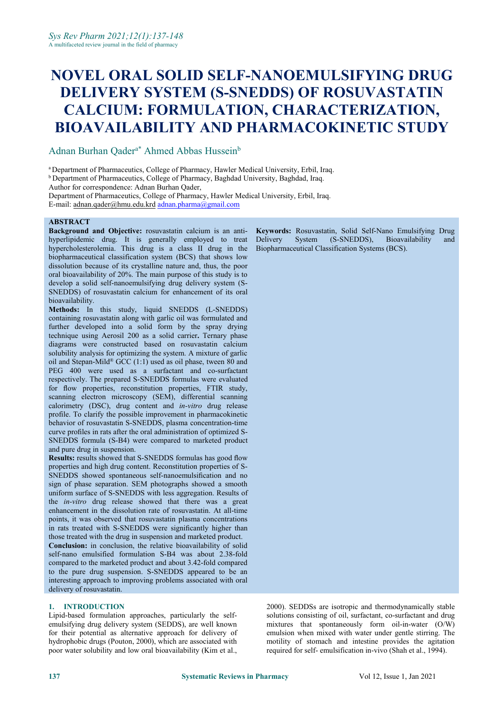# **NOVEL ORAL SOLID SELF-NANOEMULSIFYING DRUG DELIVERY SYSTEM (S-SNEDDS) OF ROSUVASTATIN CALCIUM: FORMULATION, CHARACTERIZATION, BIOAVAILABILITY AND PHARMACOKINETIC STUDY**

Adnan Burhan Qader<sup>a\*</sup> Ahmed Abbas Hussein<sup>b</sup> b<sub>b</sub>

<sup>a</sup> Department of Pharmaceutics, College of Pharmacy, Hawler Medical University, Erbil, Iraq.

<sup>b</sup> Department of Pharmaceutics, College of Pharmacy, Baghdad University, Baghdad, Iraq.

Author for correspondence: Adnan Burhan Qader,

Department of Pharmaceutics, College of Pharmacy, Hawler Medical University, Erbil, Iraq. E-mail: [adnan.qader@hmu.edu.krd](mailto:adnan.qader@hmu.edu.krd) [adnan.pharma@gmail.com](mailto:adnan.pharma@gmail.com)

#### **ABSTRACT**

**Background and Objective:** rosuvastatin calcium is an anti hyperlipidemic drug. It is generally employed to treat Delivery hypercholesterolemia. This drug is a class II drug in the biopharmaceutical classification system (BCS) that shows low dissolution because of its crystalline nature and, thus, the poor oral bioavailability of 20%. The main purpose of this study is to develop a solid self-nanoemulsifying drug delivery system (S- SNEDDS) of rosuvastatin calcium for enhancement of its oral bioavailability.

**Methods:** In this study, liquid SNEDDS (L-SNEDDS) containing rosuvastatin along with garlic oil was formulated and further developed into a solid form by the spray drying technique using Aerosil 200 as a solid carrier**.** Ternary phase diagrams were constructed based on rosuvastatin calcium solubility analysis for optimizing the system. A mixture of garlic oil and Stepan-Mild ® GCC (1:1) used as oil phase, tween 80 and PEG 400 were used as a surfactant and co-surfactant respectively. The prepared S-SNEDDS formulas were evaluated for flow properties, reconstitution properties, FTIR study, scanning electron microscopy (SEM), differential scanning calorimetry (DSC), drug content and *in-vitro* drug release profile. To clarify the possible improvement in pharmacokinetic behavior of rosuvastatin S-SNEDDS, plasma concentration-time curve profiles in rats after the oral administration of optimized S- SNEDDS formula (S-B4) were compared to marketed product and pure drug in suspension.

**Results:** results showed that S-SNEDDS formulas has good flow properties and high drug content. Reconstitution properties of S-SNEDDS showed spontaneous self-nanoemulsification and no sign of phase separation. SEM photographs showed a smooth uniform surface of S-SNEDDS with less aggregation. Results of the *in-vitro* drug release showed that there was a great enhancement in the dissolution rate of rosuvastatin. At all-time points, it was observed that rosuvastatin plasma concentrations in rats treated with S-SNEDDS were significantly higher than those treated with the drug in suspension and marketed product.

**Conclusion:** in conclusion, the relative bioavailability of solid self-nano emulsified formulation S-B4 was about 2.38-fold compared to the marketed product and about 3.42-fold compared to the pure drug suspension. S-SNEDDS appeared to be an interesting approach to improving problems associated with oral delivery of rosuvastatin.

# **1. INTRODUCTION**

Lipid-based formulation approaches, particularly the self emulsifying drug delivery system (SEDDS), are well known for their potential as alternative approach for delivery of hydrophobic drugs (Pouton, 2000), which are associated with poor water solubility and low oral bioavailability (Kim et al.,

**Keywords:** Rosuvastatin, Solid Self-Nano Emulsifying Drug System (S-SNEDDS), Bioavailability and Biopharmaceutical Classification Systems (BCS).

2000). SEDDSs are isotropic and thermodynamically stable solutions consisting of oil, surfactant, co-surfactant and drug mixtures that spontaneously form oil-in-water (O/W) emulsion when mixed with water under gentle stirring. The motility of stomach and intestine provides the agitation required for self- emulsification in-vivo (Shah et al., 1994).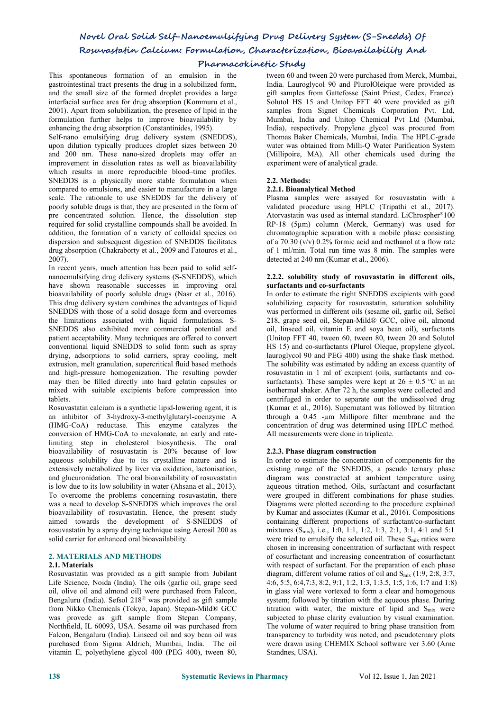# **Pharmacokinetic Study**

This spontaneous formation of an emulsion in the gastrointestinal tract presents the drug in a solubilized form, and the small size of the formed droplet provides a large interfacial surface area for drug absorption (Kommuru et al., 2001). Apart from solubilization, the presence of lipid in the samples from Signet Chemicals Corporation Pvt. Ltd, formulation further helps to improve bioavailability by enhancing the drug absorption (Constantinides, 1995).

Self-nano emulsifying drug delivery system (SNEDDS), upon dilution typically produces droplet sizes between 20 and 200 nm. These nano-sized droplets may offer an improvement in dissolution rates as well as bioavailability which results in more reproducible blood–time profiles. SNEDDS is a physically more stable formulation when compared to emulsions, and easier to manufacture in a large scale. The rationale to use SNEDDS for the delivery of poorly soluble drugs is that, they are presented in the form of pre concentrated solution. Hence, the dissolution step required for solid crystalline compounds shall be avoided. In addition, the formation of a variety of colloidal species on dispersion and subsequent digestion of SNEDDS facilitates drug absorption (Chakraborty et al., 2009 and Fatouros et al., 2007).

In recent years, much attention has been paid to solid self nanoemulsifying drug delivery systems (S-SNEDDS), which have shown reasonable successes in improving oral bioavailability of poorly soluble drugs (Nasr et al., 2016). This drug delivery system combines the advantages of liquid SNEDDS with those of a solid dosage form and overcomes the limitations associated with liquid formulations. S- SNEDDS also exhibited more commercial potential and patient acceptability. Many techniques are offered to convert conventional liquid SNEDDS to solid form such as spray drying, adsorptions to solid carriers, spray cooling, melt extrusion, melt granulation, supercritical fluid based methods and high-pressure homogenization. The resulting powder may then be filled directly into hard gelatin capsules or mixed with suitable excipients before compression into tablets.

Rosuvastatin calcium is a synthetic lipid-lowering agent, it is an inhibitor of 3-hydroxy-3-methylglutaryl-coenzyme A (HMG-CoA) reductase. This enzyme catalyzes the conversion of HMG-CoA to mevalonate, an early and ratelimiting step in cholesterol biosynthesis. The oral bioavailability of rosuvastatin is 20% because of low aqueous solubility due to its crystalline nature and is extensively metabolized by liver via oxidation, lactonisation, and glucuronidation. The oral bioavailability of rosuvastatin is low due to its low solubility in water (Ahsana et al., 2013). To overcome the problems concerning rosuvastatin, there was a need to develop S-SNEDDS which improves the oral bioavailability of rosuvastatin. Hence, the present study aimed towards the development of S-SNEDDS of rosuvastatin by a spray drying technique using Aerosil 200 as solid carrier for enhanced oral bioavailability.

# **2. MATERIALS AND METHODS**

# **2.1. Materials**

Rosuvastatin was provided as a gift sample from Jubilant Life Science, Noida (India). The oils (garlic oil, grape seed oil, olive oil and almond oil) were purchased from Falcon, Bengaluru (India). Sefsol 218<sup>®</sup> was provided as gift sample system; fol from Nikko Chemicals (Tokyo, Japan). Stepan-Mild® GCC was provede as gift sample from Stepan Company, Northfield, IL 60093, USA. Sesame oil was purchased from Falcon, Bengaluru (India). Linseed oil and soy bean oil was purchased from Sigma Aldrich, Mumbai, India. The oil vitamin E, polyethylene glycol 400 (PEG 400), tween 80,

tween 60 and tween 20 were purchased from Merck, Mumbai, India. Lauroglycol 90 and PlurolOleique were provided as gift samples from Gattefosse (Saint Priest, Cedex, France). Solutol HS 15 and Unitop FFT 40 were provided as gift Mumbai, India and Unitop Chemical Pvt Ltd (Mumbai, India), respectively. Propylene glycol was procured from Thomas Baker Chemicals, Mumbai, India. The HPLC-grade water was obtained from Milli-Q Water Purification System (Millipoire, MA). All other chemicals used during the experiment were of analytical grade.

# **2.2. Methods:**

# **2.2.1. Bioanalytical Method**

Plasma samples were assayed for rosuvastatin with a validated procedure using HPLC (Tripathi et al., 2017). Atorvastatin was used as internal standard. LiChrospher®100 RP-18 ( $5\mu$ m) column (Merck, Germany) was used for chromatographic separation with a mobile phase consisting of a  $70:30$  (v/v)  $0.2\%$  formic acid and methanol at a flow rate of 1 ml/min. Total run time was 8 min. The samples were detected at 240 nm (Kumar et al., 2006).

#### **2.2.2. solubility study of rosuvastatin in differentoils, surfactants and co-surfactants**

In order to estimate the right SNEDDS excipients with good solubilizing capacity for rosuvastatin, saturation solubility was performed in different oils (sesame oil, garlic oil, Sefsol 218, grape seed oil, Stepan-Mild® GCC, olive oil, almond oil, linseed oil, vitamin E and soya bean oil), surfactants (Unitop FFT 40, tween 60, tween 80, tween 20 and Solutol HS 15) and co-surfactants (Plurol Oleque, propylene glycol, lauroglycol 90 and PEG 400) using the shake flask method. The solubility was estimated by adding an excess quantity of rosuvastatin in 1 ml of excipient (oils, surfactants and co surfactants). These samples were kept at  $26 \pm 0.5$  °C in an isothermal shaker. After 72 h, the samples were collected and centrifuged in order to separate out the undissolved drug (Kumar et al., 2016). Supernatant was followed by filtration through a0.45 -µm Millipore filter membrane and the concentration of drug was determined using HPLC method. All measurements were done in triplicate.

# **2.2.3. Phase diagram construction**

In order to estimate the concentration of components for the existing range of the SNEDDS, a pseudo ternary phase diagram was constructed at ambient temperature using aqueous titration method. Oils, surfactant and cosurfactant were grouped in different combinations for phase studies. Diagrams were plotted according to the procedure explained by Kumar and associates (Kumar etal., 2016). Compositions containing different proportions of surfactant/co-surfactant mixtures (Smix), i.e., 1:0, 1:1, 1:2, 1:3, 2:1, 3:1, 4:1 and 5:1 were tried to emulsify the selected oil. These S<sub>mix</sub> ratios were chosen in increasing concentration of surfactant with respect of cosurfactant and increasing concentration of cosurfactant with respect of surfactant. For the preparation of each phase diagram, different volume ratios of oil and Smix (1:9, 2:8, 3:7, 4:6, 5:5, 6:4,7:3, 8:2, 9:1, 1:2, 1:3, 1:3.5, 1:5, 1:6, 1:7 and 1:8) in glass vial were vortexed to form a clear and homogenous system; followed by titration with the aqueous phase. During titration with water, the mixture of lipid and  $S<sub>mix</sub>$  were subjected to phase clarity evaluation by visual examination. The volume of water required to bring phase transition from transparency to turbidity was noted, and pseudoternary plots were drawn using CHEMIX School software ver 3.60 (Arne Standnes, USA).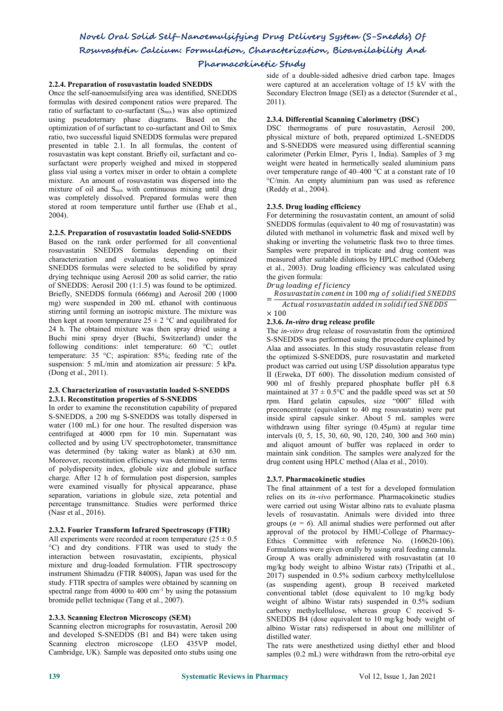# **Pharmacokinetic Study**

# **2.2.4. Preparation of rosuvastatin loaded SNEDDS**

Once the self-nanoemulsifying area was identified, SNEDDS formulas with desired component ratios were prepared. The ratio of surfactant to co-surfactant (S<sub>mix</sub>) was also optimized using pseudoternary phase diagrams. Based on the optimization of of surfactant to co-surfactant and Oil to Smix ratio, two successful liquid SNEDDS formulas were prepared presented in table 2.1.In all formulas, the content of rosuvastatin was kept constant. Briefly oil, surfactant and co surfactant were properly weighed and mixed in stoppered glass vial using a vortex mixer in order to obtain a complete mixture. An amount of rosuvastatin was dispersed into the mixture of oil and Smix with continuous mixing until drug was completely dissolved. Prepared formulas were then stored at room temperature until further use (Ehab et al., 2004).

# **2.2.5. Preparation of rosuvastatin loaded Solid-SNEDDS**

Based on the rank order performed for all conventional rosuvastatin SNEDDS formulas depending on their characterization and evaluation tests, two optimized SNEDDS formulas were selected to be solidified by spray drying technique using Aerosil 200 as solid carrier, the ratio of SNEDDS: Aerosil 200 (1:1.5) was found to be optimized. Briefly, SNEDDS formula (666mg) and Aerosil 200 (1000 mg) were suspended in 200 mL ethanol with continuous stirring until forming an isotropic mixture. The mixture was  $\times 100$ then kept at room temperature  $25 \pm 2$  °C and equilibrated for 24 h. The obtained mixture was then spray dried using a Buchi mini spray dryer (Buchi, Switzerland) under the following conditions: inlet temperature: 60 °C; outlet temperature: 35 °C; aspiration: 85%; feeding rate of the suspension: 5 mL/min and atomization air pressure: 5 kPa. (Dong et al., 2011).

# **2.3. Characterization of rosuvastatin loaded S-SNEDDS 2.3.1. Reconstitution properties of S-SNEDDS**

In order to examine the reconstitution capability of prepared S-SNEDDS, a 200 mg S-SNEDDS was totally dispersed in water (100 mL) for one hour. The resulted dispersion was centrifuged at 4000 rpm for 10 min. Supernatant was collected and by using UV spectrophotometer, transmittance was determined (by taking water as blank) at 630 nm. Moreover, reconstitution efficiency was determined in terms of polydispersity index, globule size and globule surface charge. After 12 h of formulation post dispersion, samples were examined visually for physical appearance, phase separation, variations in globule size, zeta potential and percentage transmittance. Studies were performed thrice (Nasr et al., 2016).

# **2.3.2. Fourier Transform Infrared Spectroscopy (FTIR)**

All experiments were recorded at room temperature  $(25 \pm 0.5)$ °C) and dry conditions. FTIR was used to study the interaction between rosuvastatin, excipients, physical mixture and drug-loaded formulation. FTIR spectroscopy instrument Shimadzu (FTIR 8400S), Japan was used for the study. FTIR spectra of samples were obtained by scanning on spectral range from  $4000$  to  $400 \text{ cm}^{-1}$  by using the potassium bromide pellet technique (Tang et al., 2007).

# **2.3.3. Scanning Electron Microscopy (SEM)**

Scanning electron micrographs for rosuvastatin, Aerosil 200 and developed S-SNEDDS (B1 and B4) were taken using Scanning electron microscope (LEO 435VP model, Cambridge, UK). Sample was deposited onto stubs using one side of a double-sided adhesive dried carbon tape. Images were captured at an acceleration voltage of 15 kV with the Secondary Electron Image (SEI) as a detector (Surender et al., 2011).

# **2.3.4. Differential Scanning Calorimetry (DSC)**

DSC thermograms of pure rosuvastatin, Aerosil 200, physical mixture of both, prepared optimized L-SNEDDS and S-SNEDDS were measured using differential scanning calorimeter (Perkin Elmer, Pyris 1, India). Samples of 3 mg weight were heated in hermetically sealed aluminium pans over temperature range of 40–400 °C at a constant rate of 10 °C/min. An empty aluminium pan was used as reference (Reddy et al., 2004).

# **2.3.5. Drug loading efficiency**

For determining the rosuvastatin content, an amount of solid SNEDDS formulas (equivalent to 40 mg of rosuvastatin) was diluted with methanol in volumetric flask and mixed well by shaking or inverting the volumetric flask two to three times. Samples were prepared in triplicate and drug content was measured after suitable dilutions by HPLC method (Odeberg et al., 2003). Drug loading efficiency was calculated using the given formula:

# Drug loading efficiency

Rosuvastatin conent in 100 mg of solidified SNEDDS

 $=$   $\frac{1}{\pi}$  Actual rosuvastatin added in solidified SNEDDS

#### $\times$  100 **2.3.6.** *In-vitro* **drug release profile**

The *in-vitro* drug release of rosuvastatin from the optimized S-SNEDDS was performed using the procedure explained by Alaa and associates. In this study rosuvastatin release from the optimized S-SNEDDS, pure rosuvastatin and marketed product was carried out using USP dissolution apparatus type II (Erweka, DT 600). The dissolution medium consisted of 900 ml of freshly prepared phosphate buffer pH 6.8 maintained at  $37 \pm 0.5^{\circ}$ C and the paddle speed was set at 50 rpm. Hard gelatin capsules, size "000" filled with preconcentrate (equivalent to 40 mg rosuvastatin) were put inside spiral capsule sinker. About 5 mL samples were withdrawn using filter syringe (0.45µm) at regular time intervals (0, 5,15, 30, 60, 90, 120, 240, 300 and 360 min) and aliquot amount of buffer was replaced in order to maintain sink condition. The samples were analyzed for the drug content using HPLC method (Alaa et al., 2010).

# **2.3.7. Pharmacokinetic studies**

The final attainment of a test for a developed formulation relies on its *in-vivo* performance. Pharmacokinetic studies were carried out using Wistar albino rats to evaluate plasma levels of rosuvastatin. Animals were divided into three groups  $(n = 6)$ . All animal studies were performed out after approval of the protocol by HMU-College of Pharmacy- Ethics Committee with reference No. (160620-106). Formulations were given orally by using oral feeding cannula. Group A was orally administered with rosuvastatin (at 10 mg/kg body weight to albino Wistar rats) (Tripathi et al., 2017) suspended in 0.5% sodium carboxy methylcellulose (as suspending agent), group B received marketed conventional tablet (dose equivalent to 10 mg/kg body weight of albino Wistar rats) suspended in  $0.5\%$  sodium carboxy methylcellulose, whereas group C received S- SNEDDS B4 (dose equivalent to 10 mg/kg body weight of albino Wistar rats) redispersed in about one milliliter of distilled water.

The rats were anesthetized using diethyl ether and blood samples (0.2 mL) were withdrawn from the retro-orbital eye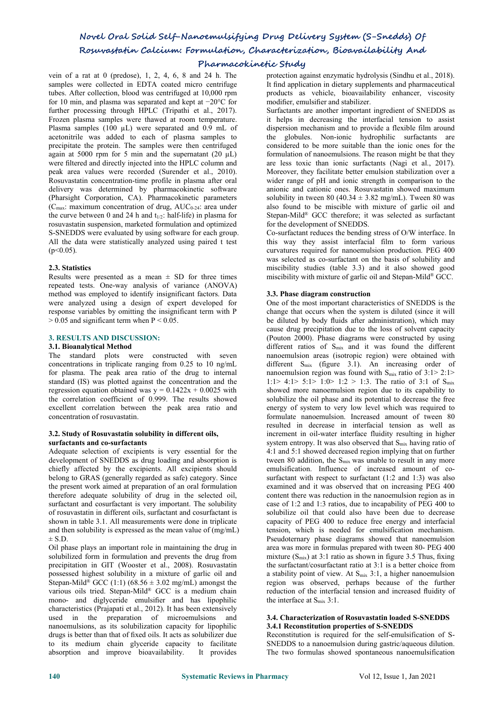# **Pharmacokinetic Study**

vein of a rat at 0 (predose), 1, 2, 4, 6, 8 and 24 h. The samples were collected in EDTA coated micro centrifuge tubes. After collection, blood was centrifuged at 10,000 rpm for 10 min, and plasma was separated and kept at −20°C for further processing through HPLC (Tripathi et al., 2017). Frozen plasma samples were thawed at room temperature.<br>Plasma samples (100 µL) were separated and 0.9 mL of acetonitrile was added to each of plasma samples to precipitate the protein. The samples were then centrifuged again at 5000 rpm for 5 min and the supernatant  $(20 \text{ uL})$ were filtered and directly injected into the HPLC column and peak area values were recorded (Surender et al., 2010). Rosuvastatin concentration-time profile in plasma after oral delivery was determined by pharmacokinetic software (Pharsight Corporation, CA). Pharmacokinetic parameters  $(C_{\text{max}}: \text{ maximum concentration of drug}, \text{AUC}_{0.24}: \text{ area under}$ the curve between 0 and 24 h and  $t_{1/2}$ : half-life) in plasma for rosuvastatin suspension, marketed formulation and optimized S-SNEDDS were evaluated by using software for each group. All the data were statistically analyzed using paired t test  $(p<0.05)$ .

# **2.3. Statistics**

Results were presented as a mean  $\pm$  SD for three times repeated tests. One-way analysis of variance (ANOVA) method was employed to identify insignificant factors. Data were analyzed using a design of expert developed for response variables by omitting the insignificant term with P  $> 0.05$  and significant term when P < 0.05.

# **3. RESULTS AND DISCUSSION:**

# **3.1. Bioanalytical Method**

The standard plots were constructed with seven concentrations in triplicate ranging from 0.25 to 10 ng/mL for plasma. The peak area ratio of the drug to internal standard (IS) was plotted against the concentration and the regression equation obtained was  $y = 0.1422x + 0.0025$  with the correlation coefficient of 0.999. The results showed excellent correlation between the peak area ratio and concentration of rosuvastatin.

#### **3.2. Study of Rosuvastatin solubility in different oils, surfactants and co-surfactants**

Adequate selection of excipients is very essential for the development of SNEDDS as drug loading and absorption is chiefly affected by the excipients. All excipients should belong to GRAS (generally regarded as safe) category. Since the present work aimed at preparation of an oral formulation therefore adequate solubility of drug in the selected oil, surfactant and cosurfactant is very important. The solubility of rosuvastatin in different oils, surfactant and cosurfactant is shown in table 3.1. All measurements were done in triplicate and then solubility is expressed as the mean value of (mg/mL)  $+ S. D.$ 

Oil phase plays an important role in maintaining the drug in solubilized form in formulation and prevents the drug from precipitation in GIT (Wooster et al., 2008). Rosuvastatin possessed highest solubility in a mixture of garlic oil and Stepan-Mild<sup>®</sup> GCC (1:1) (68.56  $\pm$  3.02 mg/mL) amongst the region wa various oils tried. Stepan-Mild® GCC is a medium chain reduction of the int mono- and diglyceride emulsifier and has lipophilic characteristics (Prajapati et al., 2012). It has been extensively used in the preparation of microemulsions and nanoemulsions, as its solubilization capacity for lipophilic drugs is better than that of fixed oils. It acts as solubilizer due to its medium chain glyceride capacity to facilitate absorption and improve bioavailability. It provides

protection against enzymatic hydrolysis (Sindhu et al., 2018). It find application in dietary supplements and pharmaceutical products as vehicle, bioavailability enhancer, viscosity modifier, emulsifier and stabilizer.

Surfactants are another important ingredient of SNEDDS as it helps in decreasing the interfacial tension to assist dispersion mechanism and to provide a flexible film around the globules. Non-ionic hydrophilic surfactants are considered to be more suitable than the ionic ones for the formulation of nanoemulsions. The reason might be that they are less toxic than ionic surfactants (Nagi et al., 2017). Moreover, they facilitate better emulsion stabilization over a wider range of pH and ionic strength in comparison to the anionic and cationic ones. Rosuvastatin showed maximum solubility in tween 80 (40.34  $\pm$  3.82 mg/mL). Tween 80 was also found to be miscible with mixture of garlic oil and Stepan-Mild ® GCC therefore; it was selected as surfactant for the development of SNEDDS.

Co-surfactant reduces the bending stress of O/W interface. In this way they assist interfacial film to form various curvatures required for nanoemulsion production. PEG 400 was selected as co-surfactant on the basis of solubility and miscibility studies (table 3.3) and it also showed good miscibility with mixture of garlic oil and Stepan-Mild ® GCC.

### **3.3. Phase diagram construction**

One of the most important characteristics of SNEDDS is the change that occurs when the system is diluted (since it will be diluted by body fluids after administration), which may cause drug precipitation due to the loss of solvent capacity (Pouton 2000). Phase diagrams were constructed by using different ratios of S<sub>mix</sub> and it was found the different nanoemulsion areas (isotropic region) were obtained with different  $S_{mix}$  (figure 3.1). An increasing order of nanoemulsion region was found with  $S_{mix}$  ratio of 3:1> 2:1> 1:1 > 4:1 > 5:1 > 1:0 > 1:2 > 1:3. The ratio of 3:1 of  $S_{mix}$ showed more nanoemulsion region due to its capability to solubilize the oil phase and its potential to decrease the free energy of system to very low level which was required to formulate nanoemulsion. Increased amount of tween 80 resulted in decrease in interfacial tension as well as increment in oil-water interface fluidity resulting in higher system entropy. It was also observed that S<sub>mix</sub> having ratio of 4:1 and 5:1 showed decreased region implying that on further tween 80 addition, the  $S<sub>mix</sub>$  was unable to result in any more emulsification. Influence of increased amount of co surfactant with respect to surfactant  $(1:2 \text{ and } 1:3)$  was also examined and it was observed that on increasing PEG 400 content there was reduction in the nanoemulsion region as in case of 1:2 and 1:3 ratios, due to incapability of PEG 400 to solubilize oil that could also have been due to decrease capacity of PEG 400 to reduce free energy and interfacial tension, which is needed for emulsification mechanism. Pseudoternary phase diagrams showed that nanoemulsion area was more in formulas prepared with tween 80- PEG 400 mixture  $(S<sub>mix</sub>)$  at 3:1 ratio as shown in figure 3.5 Thus, fixing the surfactant/cosurfactant ratio at 3:1 is a better choice from a stability point of view. At Smix 3:1, a higher nanoemulsion region was observed, perhaps because of the further reduction of the interfacial tension and increased fluidity of the interface at  $S_{mix}$  3:1.

### **3.4. Characterization of Rosuvastatin loaded S-SNEDDS 3.4.1** Reconstitution properties of S-SNEDDS

Reconstitution is required for the self-emulsification of S- SNEDDS to a nanoemulsion during gastric/aqueous dilution. The two formulas showed spontaneous nanoemulsification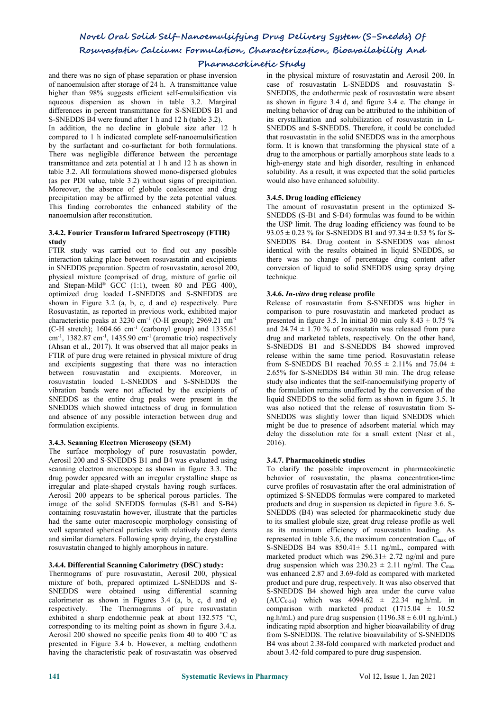# **Pharmacokinetic Study**

and there was no sign of phase separation or phase inversion of nanoemulsion after storage of 24 h. A transmittance value higher than 98% suggests efficient self-emulsification via aqueous dispersion as shown in table 3.2. Marginal differences in percent transmittance for S-SNEDDS B1 and S-SNEDDS B4 were found after 1 h and 12 h (table 3.2).

In addition, the no decline in globule size after 12 h compared to 1 h indicated complete self-nanoemulsification by the surfactant and co-surfactant for both formulations. There was negligible difference between the percentage transmittance and zeta potential at 1 h and 12 h as shown in table 3.2. All formulations showed mono-dispersed globules (as per PDI value, table 3.2) without signs of precipitation. Moreover, the absence of globule coalescence and drug precipitation may be affirmed by the zeta potential values. This finding corroborates the enhanced stability of the nanoemulsion after reconstitution.

# **3.4.2. Fourier Transform Infrared Spectroscopy (FTIR) study**

FTIR study was carried out to find out any possible interaction taking place between rosuvastatin and excipients in SNEDDS preparation. Spectra of rosuvastatin, aerosol 200, physical mixture (comprised of drug, mixture of garlic oil and Stepan-Mild ® GCC (1:1), tween 80 and PEG 400), optimized drug loaded L-SNEDDS and S-SNEDDS are shown in Figure  $3.2$  (a, b, c, d and e) respectively. Pure Rosuvastatin, as reported in previous work, exhibited major characteristic peaks at 3230 cm<sup>-1</sup> (O-H group); 2969.21 cm<sup>-1</sup>  $(C-H$  stretch); 1604.66 cm<sup>-1</sup> (carbonyl group) and 1335.61  $\text{cm}^{\text{-1}}$ , 1382.87 cm<sup>-1</sup>, 1435.90 cm<sup>-1</sup> (aromatic trio) respectively drug and man (Ahsan et al., 2017). It was observed that all major peaks in FTIR of pure drug were retained in physical mixture of drug and excipients suggesting that there was no interaction between rosuvastatin and excipients. Moreover, in rosuvastatin loaded L-SNEDDS and S-SNEDDS the vibration bands were not affected by the excipients of SNEDDS as the entire drug peaks were present in the SNEDDS which showed intactness of drug in formulation and absence of any possible interaction between drug and formulation excipients.

# **3.4.3. Scanning Electron Microscopy (SEM)**

The surface morphology of pure rosuvastatin powder, Aerosil 200 and S-SNEDDS B1 and B4 was evaluated using scanning electron microscope as shown in figure 3.3. The drug powder appeared with an irregular crystalline shape as irregular and plate-shaped crystals having rough surfaces. Aerosil 200 appears to be spherical porous particles. The image of the solid SNEDDS formulas (S-B1 and S-B4) containing rosuvastatin however, illustrate that the particles had the same outer macroscopic morphology consisting of to its smallest globule size, great drug release profile as well well separated spherical particles with relatively deep dents and similar diameters. Following spray drying, the crystalline rosuvastatin changed to highly amorphous in nature.

# **3.4.4. Differential Scanning Calorimetry (DSC) study:**

Thermograms of pure rosuvastatin, Aerosil 200, physical mixture of both, prepared optimized L-SNEDDS and S- SNEDDS were obtained using differential scanning calorimeter as shown in Figures 3.4 (a, b, c, d and e) respectively. The Thermograms of pure rosuvastatin exhibited a sharp endothermic peak at about 132.575 °C, corresponding to its melting point as shown in figure 3.4.a. Aerosil 200 showed no specific peaks from 40 to 400 °C as presented in Figure 3.4 b. However, a melting endotherm having the characteristic peak of rosuvastatin was observed in the physical mixture of rosuvastatin and Aerosil 200. In case of rosuvastatin L-SNEDDS and rosuvastatin S- SNEDDS, the endothermic peak of rosuvastatin were absent as shown in figure 3.4 d, and figure 3.4 e. The change in melting behavior of drug can be attributed to the inhibition of its crystallization and solubilization of rosuvastatin in L- SNEDDS and S-SNEDDS. Therefore, it could be concluded that rosuvastatin in the solid SNEDDS was in the amorphous form. It is known that transforming the physical state of a drug to the amorphous or partially amorphous state leads to a high-energy state and high disorder, resulting in enhanced solubility. As a result, it was expected that the solid particles would also have enhanced solubility.

# **3.4.5. Drug loading efficiency**

The amount of rosuvastatin present in the optimized S- SNEDDS (S-B1 and S-B4) formulas was found to be within the USP limit. The drug loading efficiency was found to be  $93.05 \pm 0.23$  % for S-SNEDDS B1 and  $97.34 \pm 0.53$  % for S-SNEDDS B4. Drug content in S-SNEDDS was almost identical with the results obtained in liquid SNEDDS, so there was no change of percentage drug content after conversion of liquid to solid SNEDDS using spray drying technique.

# **3.4.6.** *In-vitro* **drug release profile**

Release of rosuvastatin from S-SNEDDS was higher in comparison to pure rosuvastatin and marketed product as presented in figure 3.5. In initial 30 min only  $8.43 \pm 0.75$  % and 24.74  $\pm$  1.70 % of rosuvastatin was released from pure drug and marketed tablets, respectively. On the other hand, S-SNEDDS B1 and S-SNEDDS B4 showed improved release within the same time period. Rosuvastatin release from S-SNEDDS B1 reached  $70.55 \pm 2.11\%$  and  $75.04 \pm 1.1\%$ 2.65% for S-SNEDDS B4 within 30 min. The drug release study also indicates that the self-nanoemulsifying property of the formulation remains unaffected by the conversion of the liquid SNEDDS to the solid form as shown in figure 3.5. It was also noticed that the release of rosuvastatin from S- SNEDDS was slightly lower than liquid SNEDDS which might be due to presence of adsorbent material which may delay the dissolution rate for a small extent (Nasr et al., 2016).

# **3.4.7. Pharmacokinetic studies**

To clarify the possible improvement in pharmacokinetic behavior of rosuvastatin, the plasma concentration-time curve profiles of rosuvastatin after the oral administration of optimized S-SNEDDS formulas were compared to marketed products and drug in suspension as depicted in figure 3.6. S- SNEDDS (B4) was selected for pharmacokinetic study due as its maximum efficiency of rosuvastatin loading. As represented in table 3.6, the maximum concentration C<sub>max</sub> of S-SNEDDS B4 was  $850.41 \pm 5.11$  ng/mL, compared with marketed product which was  $296.31 \pm 2.72$  ng/ml and pure drug suspension which was  $230.23 \pm 2.11$  ng/ml. The C<sub>max</sub> was enhanced 2.87 and 3.69-fold as compared with marketed product and pure drug, respectively. It was also observed that S-SNEDDS B4 showed high area under the curve value  $(AUC_{0-24})$  which was  $4094.62 \pm 22.34$  ng.h/mL in comparison with marketed product  $(1715.04 \pm 10.52)$ ng.h/mL) and pure drug suspension (1196.38  $\pm$  6.01 ng.h/mL) indicating rapid absorption and higher bioavailability of drug from S-SNEDDS. The relative bioavailability of S-SNEDDS B4 was about 2.38-fold compared with marketed product and about 3.42-fold compared to pure drug suspension.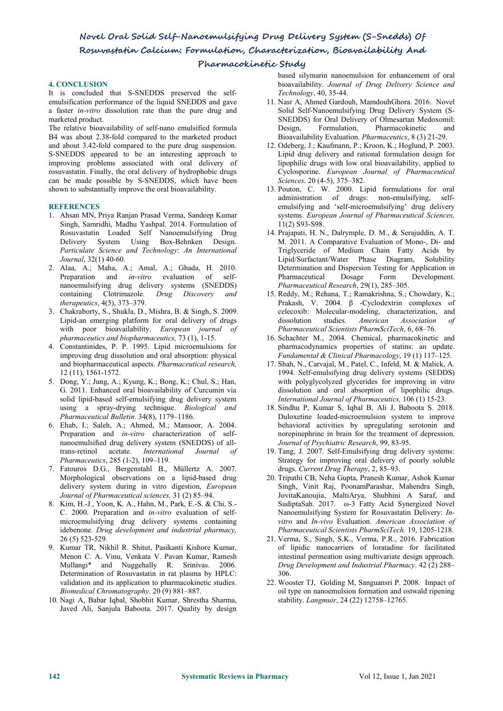# **Pharmacokinetic Study**

# **4. CONCLUSION**

It is concluded that S-SNEDDS preserved the self emulsification performance of the liquid SNEDDS and gave a faster *in-vitro* dissolution rate than the pure drug and marketed product.

The relative bioavailability of self-nano emulsified formula B4 was about 2.38-fold compared to the marketed product and about 3.42-fold compared to the pure drug suspension. S-SNEDDS appeared to be an interesting approach to improving problems associated with oral delivery of rosuvastatin. Finally, the oral delivery of hydrophobic drugs can be made possible by S-SNEDDS, which have been shown to substantially improve the oral bioavailability.

# **REFERENCES**

- 1. Ahsan MN, Priya Ranjan Prasad Verma, Sandeep Kumar Singh, Samridhi, Madhu Yashpal. 2014. Formulation of Rosuvastatin Loaded Self Nanoemulsifying Drug Delivery System Using Box-Behnken Design. *Particulate Science and Technology*: *An International Journal*, 32(1) 40-60.
- 2. Alaa, A.; Maha, A.; Amal, A.; Ghada, H. 2010. Preparation and *in-vitro* evaluation of self nanoemulsifying drug delivery systems (SNEDDS) containing Clotrimazole. *Drug Discovery and therapeutics*, 4(5), 373–379.
- 3. Chakraborty, S., Shukla, D., Mishra, B. & Singh, S. 2009. Lipid-an emerging platform for oral delivery of drugs with poor bioavailability. *European journal of pharmaceutics and biopharmaceutics,* 73 (1), 1-15.
- 4. Constantinides, P. P. 1995. Lipid microemulsions for improving drug dissolution and oral absorption: physical and biopharmaceutical aspects. *Pharmaceutical research,* 12 (11), 1561-1572.
- 5. Dong, Y.; Jung, A.; Kyung, K.; Bong, K.; Chul, S.; Han, G. 2011. Enhanced oral bioavailability of Curcumin via solid lipid-based self-emulsifying drug delivery system using a spray-drying technique. *Biological and Pharmaceutical Bulletin*. 34(8), 1179–1186.
- 6. Ehab, I.; Saleh, A.; Ahmed, M.; Mansoor, A. 2004. Preparation and *in-vitro* characterization of self nanoemulsified drug delivery system (SNEDDS) of alltrans-retinol acetate. *International Journal of Pharmaceutics*, 285 (1-2), 109–119.
- 7. Fatouros D.G., Bergenstahl B., Müllertz A. 2007. Morphological observations on a lipid-based drug delivery system during in vitro digestion, *European Journal of Pharmaceutical sciences,* 31 (2) 85–94.
- 8. Kim, H.-J., Yoon, K. A., Hahn, M., Park, E.-S. & Chi, S.- C. 2000. Preparation and *in-vitro* evaluation of self microemulsifying drug delivery systems containing idebenone. *Drug development and industrial pharmacy,* 26 (5) 523-529.
- 9. Kumar TR, Nikhil R. Shitut, Pasikanti Kishore Kumar, Menon C. A. Vinu, Venkata V. Pavan Kumar, Ramesh Mullangi\* and Nuggehally R. Srinivas. 2006. Determination of Rosuvastatin in rat plasma by HPLC: validation and its application to pharmacokinetic studies. *Biomedical Chromatography*. 20 (9) 881–887.
- 10. Nagi A, Babar Iqbal, Shobhit Kumar, Shrestha Sharma,Javed Ali, Sanjula Baboota. 2017. Quality by design

based silymarin nanoemulsion for enhancement of oral bioavailability. *Journal of Drug Delivery Science and Technology*, 40, 35-44.

- 11. Nasr A, Ahmed Gardouh, MamdouhGhora. 2016. Novel Solid Self-Nanoemulsifying Drug Delivery System (S- SNEDDS) for Oral Delivery of Olmesartan Medoxomil: Formulation, Pharmacokinetic and Bioavailability Evaluation. *Pharmaceutics*, 8 (3) 21-29.
- 12. Odeberg, J.; Kaufmann, P.; Kroon, K.; Hoglund, P. 2003. Lipid drug delivery and rational formulation design for lipophilic drugs with low oral bioavailability, applied to Cyclosporine. *European Journal of Pharmaceutical Sciences*. 20 (4-5), 375–382.
- 13. Pouton, C. W. 2000. Lipid formulations for oral administration of drugs: non-emulsifying, self emulsifying and 'self-microemulsifying' drug delivery systems. *European Journal of Pharmaceutical Sciences,* 11(2) S93-S98.
- 14. Prajapati, H. N., Dalrymple, D. M., & Serajuddin, A. T. M. 2011. A Comparative Evaluation of Mono-, Di- and Triglyceride of Medium Chain Fatty Acids by Lipid/Surfactant/Water Phase Diagram, Solubility Determination and Dispersion Testing for Application in Pharmaceutical Dosage Form Development. *Pharmaceutical Research*, 29(1), 285–305.
- 15. Reddy, M.; Rehana, T.; Ramakrishna, S.; Chowdary, K.; Prakash, V. 2004. β -Cyclodextrin complexes of celecoxib: Molecular-modeling, characterization, and dissolution studies. *American Association Pharmaceutical Scientists PharmSciTech*, 6, 68–76.
- 16. Schachter M., 2004. Chemical, pharmacokinetic and pharmacodynamics properties of statins: an update. *Fundamental & Clinical Pharmacology*, 19 (1) 117–125.
- 17. Shah, N., Carvajal, M., Patel, C., Infeld, M. & Malick, A. 1994. Self-emulsifying drug delivery systems (SEDDS) with polyglycolyzed glycerides for improving in vitro dissolution and oral absorption of lipophilic drugs. *International Journal of Pharmaceutics,* 106 (1) 15-23.
- 18. Sindhu P, Kumar S, Iqbal B, Ali J, Baboota S. 2018. Duloxetine loaded-microemulsion system to improve behavioral activities by upregulating serotonin and norepinephrine in brain for the treatment of depression. *Journal of Psychiatric Research*, 99, 83-95.
- 19. Tang, J. 2007. Self-Emulsifying drug delivery systems: Strategy for improving oral delivery of poorly soluble drugs. *Current Drug Therapy*, 2, 85–93.
- 20. Tripathi CB, Neha Gupta, Pranesh Kumar, Ashok Kumar Singh, Vinit Raj, PoonamParashar, Mahendra Singh, JovitaKanoujia, MaltiArya, Shubhini A Saraf, and SudiptaSah. 2017. ω-3 Fatty Acid Synergized Novel Nanoemulsifying System for Rosuvastatin Delivery: *In vitro* and *In-vivo* Evaluation. *American Association of Pharmaceutical Scientists PharmSciTech.* 19, 1205-1218.
- 21. Verma, S., Singh, S.K., Verma, P.R., 2016. Fabrication of lipidic nanocarriers of loratadine for facilitated intestinal permeation using multivariate design approach. *Drug Development* and *Industrial Pharmacy*. 42 (2) 288– 306.
- 22. [Wooster](http://pubs.acs.org/author/Wooster%2C+Tim+J) TJ, [Golding](http://pubs.acs.org/author/Golding%2C+Matt) M, [Sanguansri](http://pubs.acs.org/author/Sanguansri%2C+Peerasak) P. 2008. Impact of oil type on nanoemulsion formation and ostwald ripening stability. *Langmuir*, 24 (22) 12758–12765.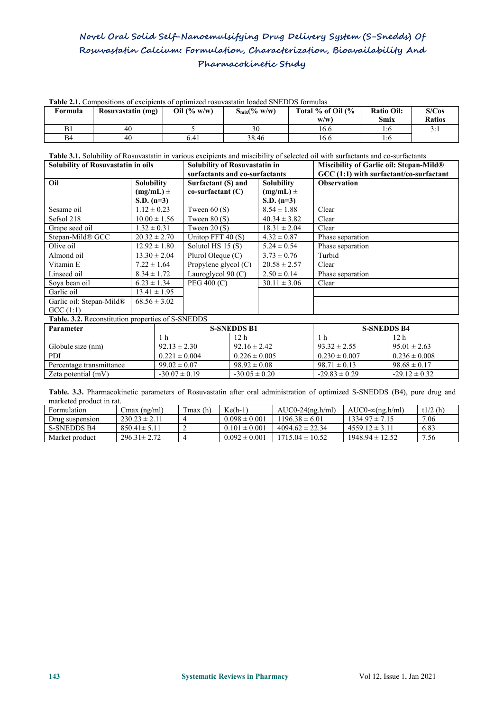| <b>Table 2.1.</b> Compositions of excipients of optimized rosuvastatin loaded SNEDDS formulas |                   |                |                  |                      |                   |               |  |
|-----------------------------------------------------------------------------------------------|-------------------|----------------|------------------|----------------------|-------------------|---------------|--|
| Formula                                                                                       | Rosuvastatin (mg) | Oil $(\% w/w)$ | $S_{mix}(% w/w)$ | Total $%$ of Oil $%$ | <b>Ratio Oil:</b> | S/Cos         |  |
|                                                                                               |                   |                |                  | w/w                  | Smix              | <b>Ratios</b> |  |
|                                                                                               | 40                |                |                  | 16.6                 |                   | 3:1           |  |
| B4                                                                                            | 40                | 6.41           | 38.46            | 16.6                 | l:C               |               |  |

**Table 3.1.** Solubility of Rosuvastatin in various excipients and miscibility of selected oil with surfactants and co-surfactants

| Solubility of Rosuvastatin in oils |                  | Solubility of Rosuvastatin in<br>surfactants and co-surfactants |                  | Miscibility of Garlic oil: Stepan-Mild®<br>$GCC(1:1)$ with surfactant/co-surfactant |  |
|------------------------------------|------------------|-----------------------------------------------------------------|------------------|-------------------------------------------------------------------------------------|--|
|                                    |                  |                                                                 |                  |                                                                                     |  |
|                                    | $(mg/mL)$ ±      | $co-surfaceant(C)$                                              | $(mg/mL)$ ±      |                                                                                     |  |
|                                    | $S.D. (n=3)$     |                                                                 | S.D. $(n=3)$     |                                                                                     |  |
| Sesame oil                         | $1.12 \pm 0.23$  | Tween $60(S)$                                                   | $8.54 \pm 1.88$  | Clear                                                                               |  |
| Sefsol 218                         | $10.00 \pm 1.56$ | Tween $80(S)$                                                   | $40.34 \pm 3.82$ | Clear                                                                               |  |
| Grape seed oil                     | $1.32 \pm 0.31$  | Tween $20(S)$                                                   | $18.31 \pm 2.04$ | Clear                                                                               |  |
| Stepan-Mild® GCC                   | $20.32 \pm 2.70$ | Unitop FFT $40(S)$                                              | $4.32 \pm 0.87$  | Phase separation                                                                    |  |
| Olive oil                          | $12.92 \pm 1.80$ | Solutol HS $15(S)$                                              | $5.24 \pm 0.54$  | Phase separation                                                                    |  |
| Almond oil                         | $13.30 \pm 2.04$ | Plurol Oleque $(C)$                                             | $3.73 \pm 0.76$  | Turbid                                                                              |  |
| Vitamin E                          | $7.22 \pm 1.64$  | Propylene glycol $(C)$                                          | $20.58 \pm 2.57$ | Clear                                                                               |  |
| Linseed oil                        | $8.34 \pm 1.72$  | Lauroglycol $90 (C)$                                            | $2.50 \pm 0.14$  | Phase separation                                                                    |  |
| Soya bean oil                      | $6.23 \pm 1.34$  | PEG 400 (C)                                                     | $30.11 \pm 3.06$ | Clear                                                                               |  |
| Garlic oil                         | $13.41 \pm 1.95$ |                                                                 |                  |                                                                                     |  |
| Garlic oil: Stepan-Mild®           | $68.56 \pm 3.02$ |                                                                 |                  |                                                                                     |  |
| GCC(1:1)                           |                  |                                                                 |                  |                                                                                     |  |

**Table. 3.2.** Reconstitution properties of S-SNEDDS

| <b>Parameter</b>         |                   | <b>S-SNEDDS B1</b> | <b>S-SNEDDS B4</b> |                   |  |
|--------------------------|-------------------|--------------------|--------------------|-------------------|--|
|                          |                   | 12 <sub>h</sub>    |                    | 12 h              |  |
| Globule size (nm)        | $92.13 \pm 2.30$  | $92.16 \pm 2.42$   | $93.32 \pm 2.55$   | $95.01 \pm 2.63$  |  |
| <b>PDI</b>               | $0.221 \pm 0.004$ | $0.226 \pm 0.005$  | $0.230 \pm 0.007$  | $0.236 \pm 0.008$ |  |
| Percentage transmittance | $99.02 \pm 0.07$  | $98.92 \pm 0.08$   | $98.71 \pm 0.13$   | $98.68 \pm 0.17$  |  |
| Zeta potential $(mV)$    | $-30.07 \pm 0.19$ | $-30.05 \pm 0.20$  | $-29.83 \pm 0.29$  | $-29.12 \pm 0.32$ |  |

Table. 3.3. Pharmacokinetic parameters of Rosuvastatin after oral administration of optimized S-SNEDDS (B4), pure drug and marketed product in rat.

| Formulation        | Cmax (ng/ml)      | Tmax (h) | $Ke(h-1)$         | $AUC0-24(ng.h/ml)$  | AUC0- $\infty$ (ng.h/ml) | t1/2(h) |
|--------------------|-------------------|----------|-------------------|---------------------|--------------------------|---------|
| Drug suspension    | $230.23 \pm 2.11$ |          | $0.098 \pm 0.001$ | $1196.38 \pm 6.01$  | $1334.97 \pm 7.15$       | 7.06    |
| <b>S-SNEDDS B4</b> | $850.41 \pm 5.11$ |          | $0.101 \pm 0.001$ | $4094.62 \pm 22.34$ | $4559.12 \pm 3.11$       | 6.83    |
| Market product     | $296.31 \pm 2.72$ |          | $0.092 \pm 0.001$ | $1715.04 \pm 10.52$ | $1948.94 \pm 12.52$      | 7.56    |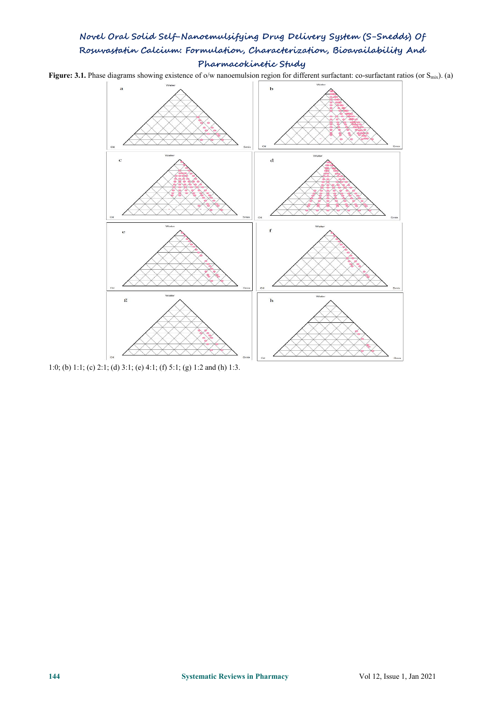Figure: 3.1. Phase diagrams showing existence of o/w nanoemulsion region for different surfactant: co-surfactant ratios (or S<sub>mix</sub>). (a)



1:0; (b) 1:1; (c) 2:1; (d) 3:1; (e) 4:1; (f) 5:1; (g) 1:2 and (h) 1:3.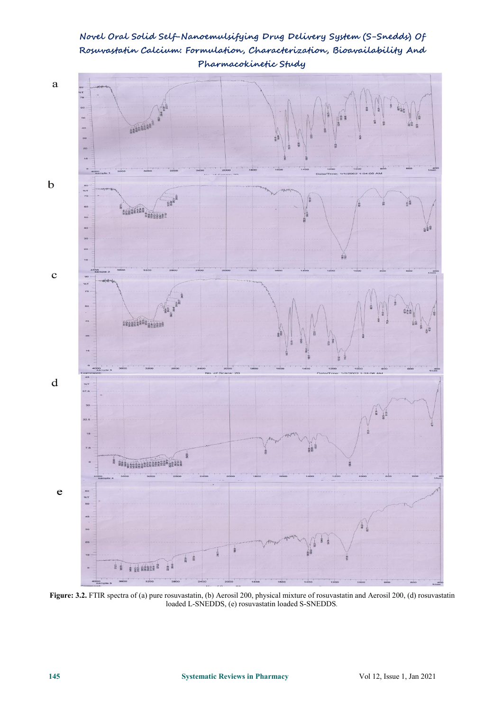

**Novel Oral Solid Self-Nanoemulsifying Drug Delivery System (S-Snedds) Of Rosuvastatin Calcium: Formulation, Characterization, Bioavailability And Pharmacokinetic Study**

**Figure: 3.2.** FTIR spectra of (a) pure rosuvastatin, (b) Aerosil 200, physical mixture of rosuvastatin and Aerosil 200, (d) rosuvastatin loaded L-SNEDDS, (e) rosuvastatin loaded S-SNEDDS*.*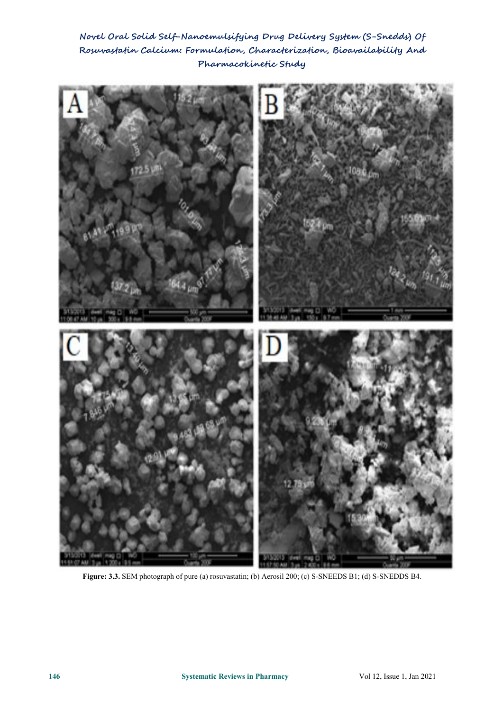

**Figure: 3.3.** SEM photograph of pure (a) rosuvastatin; (b) Aerosil 200; (c) S-SNEEDS B1; (d) S-SNEDDS B4.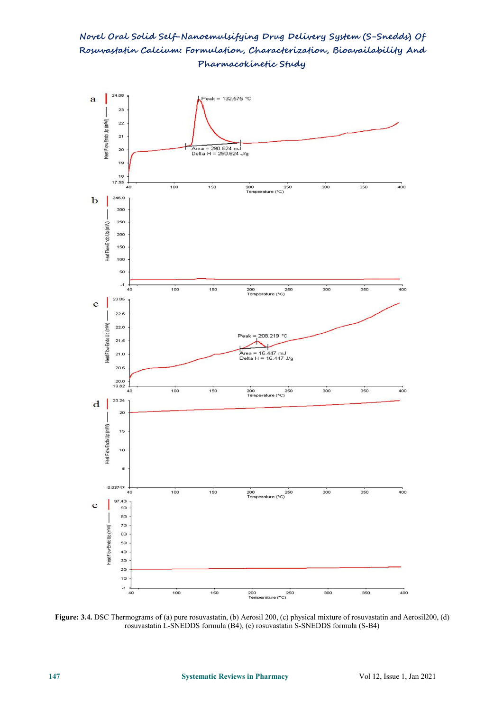**Novel Oral Solid Self-Nanoemulsifying Drug Delivery System (S-Snedds) Of Rosuvastatin Calcium: Formulation, Characterization, Bioavailability And Pharmacokinetic Study**



**Figure: 3.4.** DSC Thermograms of(a) pure rosuvastatin, (b) Aerosil 200, (c) physical mixture of rosuvastatin and Aerosil200, (d) rosuvastatin L-SNEDDS formula (B4), (e) rosuvastatin S-SNEDDS formula (S-B4)